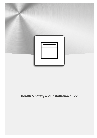<span id="page-0-0"></span>

# **Health & Safety and Installation guide**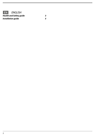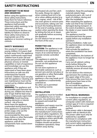## **SAFETY INSTRUCTIONS**

#### **IMPORTANT TO BE READ AND OBSERVED**

Before using the appliance read these safety instructions. Keep them for future reference. These instructions and the appliance itself provide important safety warnings, to be observed at all times. The manufacturer declines any liability for failure to observe these safety instructions, for inapropriate use of the appliance or incorrect setting of controls. 

**SAFETY WARNINGS**

Very young (0-3 years) and young children (3-8 years) shall be kept away from the appliance unless continuously supervised. Children from 8 years old and above and persons with reduced physical, sensory or mental capabilities or lack of experience and knowledge can use this appliance only if they are supervised or have been given instructions on safe use and understand the hazards involved. Children must not play with the appliance. Cleaning and user maintenance must not be carried out by children without supervision.

**WARNING:** The appliance and its accessible parts become hot during use, children less than 8 year of age shall be kept away unless continuously supervised. **WARNING:** Avoid touching heating elements or interior surface - risk of burns. Never leave the appliance unattended during food drying. If the appliance is suitable for probe usage, only use the temperature probe recommended for this oven. Keep clothes or other flammable materials away from the appliance, until all the components have cooled down completely.

Overheated oils and fats catch fire easily. Always be vigilant when cooking food rich in fat, oil or when adding alcohol (e.g. rum, cognac, wine) - risk of fire. Use oven gloves to remove pans and accessories, taking care not to touch the heating elements. At the end of cooking, exercise caution when opening the door, by letting the hot air or steam exit gradually before accessing the appliance.

Do not obstruct hot air vents at the front of the oven.

## **PERMITTED USE**

**CAUTION:** The appliance is not intended to be operated by means of an external timer or separate remote controlled system.

This appliance is solely for domestic, not professional use. Do not use the appliance outdoors.

Do not store explosive or flammable substances such as aerosol cans and do not place or use gasoline or other flammable materials in or near the appliance: a fire may break out if the appliance is inadvertently switched on.

No other use is permitted (e.g. heating rooms).

### **INSTALLATION**

The appliance must be handled and installed by two or more persons. Use protective gloves to unpack and install the appliance.

Installation and repairs must be carried out by a qualified technician, in compliance with the manufacturer's instructions and local safety regulations. Do not repair or replace any part of the appliance unless specifically stated in the user manual. Children should not perform installation operations. Keep children away during

installation. Keep the packaging materials (plastic bags, polystyrene parts, etc.) out of reach of children, during and after the installation. After unpacking the appliance, make sure that it has not been damaged during transport. In the event of problems, contact the dealer or your nearest Aftersales Service.

**EN**

The appliance must be disconnected from the power supply before any installation operation.

During installation, make sure the appliance does not damage the power cable.

Only activate the appliance when the installation has been completed.

After installation, the bottom of the appliance must no longer be accessible.

Carry out all cabinet cutting works before fitting the appliance in the furniture and carefully remove all wood chips and sawdust.

Do not obstruct the minimum gap between the worktop and the upper edge of the oven. Only remove the oven from its polystyrene foam base at the time of installation. Do not install the appliance behind a decorative door - Risk

of fire.

### **ELECTRICAL WARNINGS**

For installation to comply with current safety regulations, an omnipolar switch with minimum contact gap of 3 mm is required and the appliance must be earthed.

If the power cable is damaged, replace with an identical one. The power cable must only be replaced by a qualified technician in compliance with the manufacturer instruction and current safety regulations. Contact an authorized service center.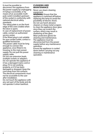It must be possible to disconnect the appliance from the power supply by unplugging it if plug is accessible, or by means of an accessible multipole switch installed upstream of the socket in conformity with national electrical safety standards.

The rating plate is on the front edge of the oven (visible when the door is open).

In case of replacement of power cable, contact an authorized service center.

If the fitted plug is not suitable for your socket outlet, contact a qualified technician.

The power cable must be long enough to connect the appliance, once fitted in its housing, to the main power supply. Do not pull the power supply cable.

Do not use extension leads, multiple sockets or adapters. Do not operate this appliance if it has a damaged mains cord or plug, if it is not working properly, or if it has been damaged or dropped. Keep the cord away from hot surfaces. The electrical components must not be accessible to the user after installation.

Do not touch the appliance with any wet part of the body and do not operate it when barefoot.

### **CLEANING AND MAINTENANCE**

Never use steam cleaning equipment.

**WARNING:** Ensure that the appliance is switched off before replacing the lamp to avoid the possibility of electric shock. Do not use harsh abrasive cleaners or sharp metal scrapers to clean the appliance door glass since they can scratch the surface, which may result in shattering of the glass. Wear protective gloves for cleaning and maintenance. The appliance must be disconnected from the power supply before any maintenance operation. Ensure the appliance is cooled

down before carrying out any cleaning or maintenance operation.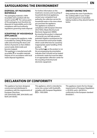#### 5

## **SAFEGUARDING THE ENVIRONMENT**

## **DISPOSAL OF PACKAGING MATERIALS**

The packaging material is 100% recyclable and is marked with the recycle symbol  $\bullet$ . The various parts of the packaging must therefore be disposed of responsibility and in full compliance with local authority regulations governing waste disposal. 

## **SCRAPPING OF HOUSEHOLD APPLIANCES**

When scrapping the appliance, make it unusable by cutting off the power cable and removing the doors and shelves (if present) so that children cannot easily climb inside and become trapped.

This appliance is manufactured with recyclable <sup>\*</sup> or reusable materials. Dispose of it in accordance with local waste disposal regulations.

For further information on the treatment, recovery and recycling of household electrical appliances, contact your competent local authority, the collection service for household waste or the store where you purchase the appliance. This appliance is marked in compliance with European Directive 2012/19/EU, Waste Electrical and Electronic Equipment (WEEE). By ensuring this product is disposed of correctly, you will help prevent potential negative consequences for the environment and human health, which could otherwise be caused by inappropriate waste handling of this product. The symbol  $\Box$  on the product or on

the accompanying documentation indicates that it should not be treated as domestic waste but must be taken to an appropriate collection center for the recycling of electrical and electronic equipment.

## **ENERGY SAVING TIPS**

Only preheat the oven if specified in the cooking table or your recipe. Use dark lacquered or enamelled baking moduls as they absorb heat far better.

## **DECLARATION OF CONFORMITY**

This appliance has been designed, constructed and distributed in compliance with the requirements of European Directives: LVD 2014/35/EU, EMC 2014/30/EU and RoHS 2011/65/EU.

This appliance, which is intended to come into contact with foodstuffs, complies with European Regulation  $CF$  n. 1935/2004.

This appliance meets the Eco Design requirements of European Regulations n. 65/2014, and n. 66/2014 in conformity to the European standard EN 60350-1.

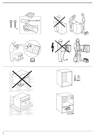











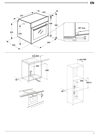







**EN**